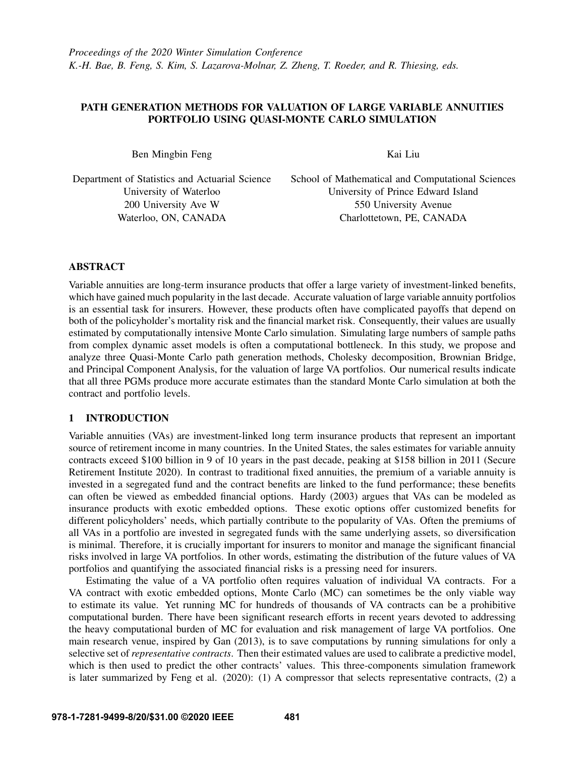# PATH GENERATION METHODS FOR VALUATION OF LARGE VARIABLE ANNUITIES PORTFOLIO USING QUASI-MONTE CARLO SIMULATION

Ben Mingbin Feng

Kai Liu

Department of Statistics and Actuarial Science University of Waterloo 200 University Ave W Waterloo, ON, CANADA

School of Mathematical and Computational Sciences University of Prince Edward Island 550 University Avenue Charlottetown, PE, CANADA

# ABSTRACT

Variable annuities are long-term insurance products that offer a large variety of investment-linked benefits, which have gained much popularity in the last decade. Accurate valuation of large variable annuity portfolios is an essential task for insurers. However, these products often have complicated payoffs that depend on both of the policyholder's mortality risk and the financial market risk. Consequently, their values are usually estimated by computationally intensive Monte Carlo simulation. Simulating large numbers of sample paths from complex dynamic asset models is often a computational bottleneck. In this study, we propose and analyze three Quasi-Monte Carlo path generation methods, Cholesky decomposition, Brownian Bridge, and Principal Component Analysis, for the valuation of large VA portfolios. Our numerical results indicate that all three PGMs produce more accurate estimates than the standard Monte Carlo simulation at both the contract and portfolio levels.

# 1 INTRODUCTION

Variable annuities (VAs) are investment-linked long term insurance products that represent an important source of retirement income in many countries. In the United States, the sales estimates for variable annuity contracts exceed \$100 billion in 9 of 10 years in the past decade, peaking at \$158 billion in 2011 [\(Secure](#page-10-0) [Retirement Institute 2020\)](#page-10-0). In contrast to traditional fixed annuities, the premium of a variable annuity is invested in a segregated fund and the contract benefits are linked to the fund performance; these benefits can often be viewed as embedded financial options. [Hardy \(2003\)](#page-9-0) argues that VAs can be modeled as insurance products with exotic embedded options. These exotic options offer customized benefits for different policyholders' needs, which partially contribute to the popularity of VAs. Often the premiums of all VAs in a portfolio are invested in segregated funds with the same underlying assets, so diversification is minimal. Therefore, it is crucially important for insurers to monitor and manage the significant financial risks involved in large VA portfolios. In other words, estimating the distribution of the future values of VA portfolios and quantifying the associated financial risks is a pressing need for insurers.

Estimating the value of a VA portfolio often requires valuation of individual VA contracts. For a VA contract with exotic embedded options, Monte Carlo (MC) can sometimes be the only viable way to estimate its value. Yet running MC for hundreds of thousands of VA contracts can be a prohibitive computational burden. There have been significant research efforts in recent years devoted to addressing the heavy computational burden of MC for evaluation and risk management of large VA portfolios. One main research venue, inspired by [Gan \(2013\),](#page-9-1) is to save computations by running simulations for only a selective set of *representative contracts*. Then their estimated values are used to calibrate a predictive model, which is then used to predict the other contracts' values. This three-components simulation framework is later summarized by [Feng et al. \(2020\):](#page-9-2) (1) A compressor that selects representative contracts, (2) a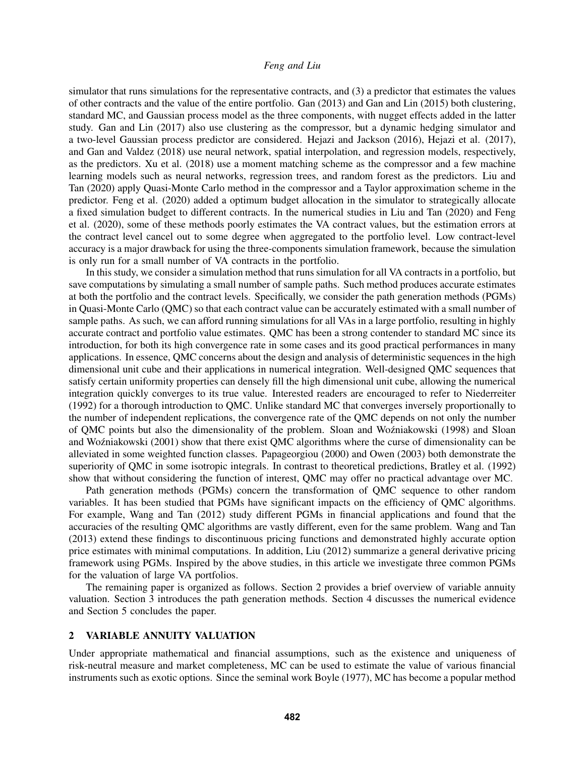simulator that runs simulations for the representative contracts, and (3) a predictor that estimates the values of other contracts and the value of the entire portfolio. [Gan \(2013\)](#page-9-1) and [Gan and Lin \(2015\)](#page-9-3) both clustering, standard MC, and Gaussian process model as the three components, with nugget effects added in the latter study. [Gan and Lin \(2017\)](#page-9-4) also use clustering as the compressor, but a dynamic hedging simulator and a two-level Gaussian process predictor are considered. [Hejazi and Jackson \(2016\),](#page-9-5) [Hejazi et al. \(2017\),](#page-9-6) and [Gan and Valdez \(2018\)](#page-9-7) use neural network, spatial interpolation, and regression models, respectively, as the predictors. [Xu et al. \(2018\)](#page-10-1) use a moment matching scheme as the compressor and a few machine learning models such as neural networks, regression trees, and random forest as the predictors. [Liu and](#page-9-8) [Tan \(2020\)](#page-9-8) apply Quasi-Monte Carlo method in the compressor and a Taylor approximation scheme in the predictor. [Feng et al. \(2020\)](#page-9-2) added a optimum budget allocation in the simulator to strategically allocate a fixed simulation budget to different contracts. In the numerical studies in [Liu and Tan \(2020\)](#page-9-8) and [Feng](#page-9-2) [et al. \(2020\),](#page-9-2) some of these methods poorly estimates the VA contract values, but the estimation errors at the contract level cancel out to some degree when aggregated to the portfolio level. Low contract-level accuracy is a major drawback for using the three-components simulation framework, because the simulation is only run for a small number of VA contracts in the portfolio.

In this study, we consider a simulation method that runs simulation for all VA contracts in a portfolio, but save computations by simulating a small number of sample paths. Such method produces accurate estimates at both the portfolio and the contract levels. Specifically, we consider the path generation methods (PGMs) in Quasi-Monte Carlo (QMC) so that each contract value can be accurately estimated with a small number of sample paths. As such, we can afford running simulations for all VAs in a large portfolio, resulting in highly accurate contract and portfolio value estimates. QMC has been a strong contender to standard MC since its introduction, for both its high convergence rate in some cases and its good practical performances in many applications. In essence, QMC concerns about the design and analysis of deterministic sequences in the high dimensional unit cube and their applications in numerical integration. Well-designed QMC sequences that satisfy certain uniformity properties can densely fill the high dimensional unit cube, allowing the numerical integration quickly converges to its true value. Interested readers are encouraged to refer to [Niederreiter](#page-10-2) [\(1992\)](#page-10-2) for a thorough introduction to QMC. Unlike standard MC that converges inversely proportionally to the number of independent replications, the convergence rate of the QMC depends on not only the number of QMC points but also the dimensionality of the problem. [Sloan](#page-10-4) and Woźniakowski (1998) and Sloan and Woźniakowski (2001) show that there exist QMC algorithms where the curse of dimensionality can be alleviated in some weighted function classes. [Papageorgiou \(2000\)](#page-10-5) and [Owen \(2003\)](#page-10-6) both demonstrate the superiority of QMC in some isotropic integrals. In contrast to theoretical predictions, [Bratley et al. \(1992\)](#page-9-9) show that without considering the function of interest, QMC may offer no practical advantage over MC.

Path generation methods (PGMs) concern the transformation of QMC sequence to other random variables. It has been studied that PGMs have significant impacts on the efficiency of QMC algorithms. For example, [Wang and Tan \(2012\)](#page-10-7) study different PGMs in financial applications and found that the accuracies of the resulting QMC algorithms are vastly different, even for the same problem. [Wang and Tan](#page-10-8) [\(2013\)](#page-10-8) extend these findings to discontinuous pricing functions and demonstrated highly accurate option price estimates with minimal computations. In addition, [Liu \(2012\)](#page-9-10) summarize a general derivative pricing framework using PGMs. Inspired by the above studies, in this article we investigate three common PGMs for the valuation of large VA portfolios.

The remaining paper is organized as follows. Section 2 provides a brief overview of variable annuity valuation. Section 3 introduces the path generation methods. Section 4 discusses the numerical evidence and Section 5 concludes the paper.

## <span id="page-1-0"></span>2 VARIABLE ANNUITY VALUATION

Under appropriate mathematical and financial assumptions, such as the existence and uniqueness of risk-neutral measure and market completeness, MC can be used to estimate the value of various financial instruments such as exotic options. Since the seminal work [Boyle \(1977\),](#page-9-11) MC has become a popular method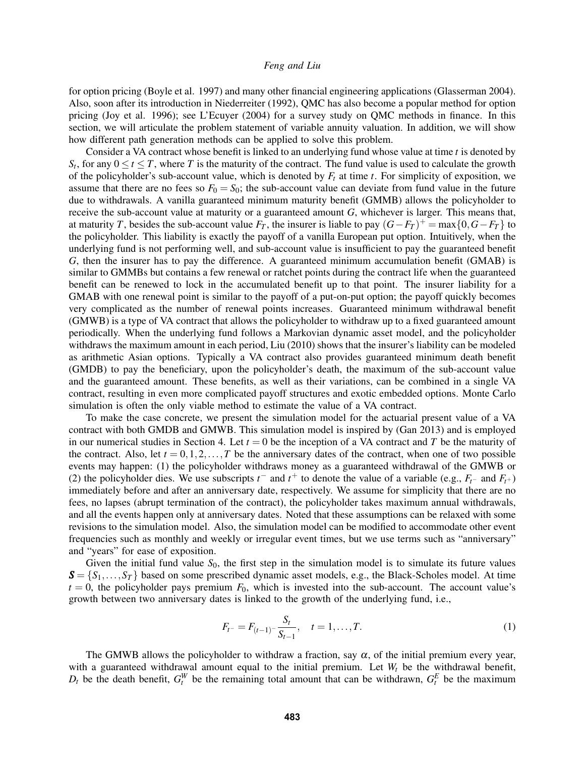for option pricing [\(Boyle et al. 1997\)](#page-9-12) and many other financial engineering applications [\(Glasserman 2004\)](#page-9-13). Also, soon after its introduction in [Niederreiter \(1992\),](#page-10-2) QMC has also become a popular method for option pricing [\(Joy et al. 1996\)](#page-9-14); see [L'Ecuyer \(2004\)](#page-9-15) for a survey study on QMC methods in finance. In this section, we will articulate the problem statement of variable annuity valuation. In addition, we will show how different path generation methods can be applied to solve this problem.

Consider a VA contract whose benefit is linked to an underlying fund whose value at time *t* is denoted by  $S_t$ , for any  $0 \le t \le T$ , where *T* is the maturity of the contract. The fund value is used to calculate the growth of the policyholder's sub-account value, which is denoted by  $F_t$  at time  $t$ . For simplicity of exposition, we assume that there are no fees so  $F_0 = S_0$ ; the sub-account value can deviate from fund value in the future due to withdrawals. A vanilla guaranteed minimum maturity benefit (GMMB) allows the policyholder to receive the sub-account value at maturity or a guaranteed amount *G*, whichever is larger. This means that, at maturity *T*, besides the sub-account value  $F_T$ , the insurer is liable to pay  $(G-F_T)^+$  = max $\{0, G-F_T\}$  to the policyholder. This liability is exactly the payoff of a vanilla European put option. Intuitively, when the underlying fund is not performing well, and sub-account value is insufficient to pay the guaranteed benefit *G*, then the insurer has to pay the difference. A guaranteed minimum accumulation benefit (GMAB) is similar to GMMBs but contains a few renewal or ratchet points during the contract life when the guaranteed benefit can be renewed to lock in the accumulated benefit up to that point. The insurer liability for a GMAB with one renewal point is similar to the payoff of a put-on-put option; the payoff quickly becomes very complicated as the number of renewal points increases. Guaranteed minimum withdrawal benefit (GMWB) is a type of VA contract that allows the policyholder to withdraw up to a fixed guaranteed amount periodically. When the underlying fund follows a Markovian dynamic asset model, and the policyholder withdraws the maximum amount in each period, [Liu \(2010\)](#page-9-16) shows that the insurer's liability can be modeled as arithmetic Asian options. Typically a VA contract also provides guaranteed minimum death benefit (GMDB) to pay the beneficiary, upon the policyholder's death, the maximum of the sub-account value and the guaranteed amount. These benefits, as well as their variations, can be combined in a single VA contract, resulting in even more complicated payoff structures and exotic embedded options. Monte Carlo simulation is often the only viable method to estimate the value of a VA contract.

To make the case concrete, we present the simulation model for the actuarial present value of a VA contract with both GMDB and GMWB. This simulation model is inspired by [\(Gan 2013\)](#page-9-1) and is employed in our numerical studies in Section [4.](#page-6-0) Let  $t = 0$  be the inception of a VA contract and T be the maturity of the contract. Also, let  $t = 0, 1, 2, \ldots, T$  be the anniversary dates of the contract, when one of two possible events may happen: (1) the policyholder withdraws money as a guaranteed withdrawal of the GMWB or (2) the policyholder dies. We use subscripts  $t^-$  and  $t^+$  to denote the value of a variable (e.g.,  $F_{t-}$  and  $F_{t+}$ ) immediately before and after an anniversary date, respectively. We assume for simplicity that there are no fees, no lapses (abrupt termination of the contract), the policyholder takes maximum annual withdrawals, and all the events happen only at anniversary dates. Noted that these assumptions can be relaxed with some revisions to the simulation model. Also, the simulation model can be modified to accommodate other event frequencies such as monthly and weekly or irregular event times, but we use terms such as "anniversary" and "years" for ease of exposition.

Given the initial fund value  $S_0$ , the first step in the simulation model is to simulate its future values  $S = \{S_1, \ldots, S_T\}$  based on some prescribed dynamic asset models, e.g., the Black-Scholes model. At time  $t = 0$ , the policyholder pays premium  $F_0$ , which is invested into the sub-account. The account value's growth between two anniversary dates is linked to the growth of the underlying fund, i.e.,

<span id="page-2-0"></span>
$$
F_{t^-} = F_{(t-1)^-} \frac{S_t}{S_{t-1}}, \quad t = 1, \dots, T.
$$
 (1)

The GMWB allows the policyholder to withdraw a fraction, say  $\alpha$ , of the initial premium every year, with a guaranteed withdrawal amount equal to the initial premium. Let *W<sup>t</sup>* be the withdrawal benefit,  $D_t$  be the death benefit,  $G_t^W$  be the remaining total amount that can be withdrawn,  $G_t^E$  be the maximum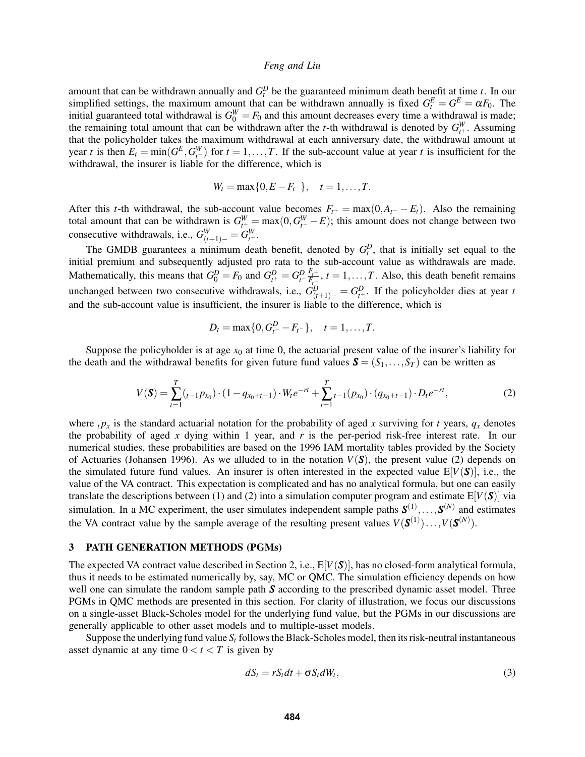amount that can be withdrawn annually and  $G_t^D$  be the guaranteed minimum death benefit at time *t*. In our simplified settings, the maximum amount that can be withdrawn annually is fixed  $G_t^E = G^E = \alpha F_0$ . The initial guaranteed total withdrawal is  $G_0^W = F_0$  and this amount decreases every time a withdrawal is made; the remaining total amount that can be withdrawn after the *t*-th withdrawal is denoted by  $G_{t+1}^W$ . Assuming that the policyholder takes the maximum withdrawal at each anniversary date, the withdrawal amount at year *t* is then  $E_t = \min(G^E, G^W_{t-})$  for  $t = 1, ..., T$ . If the sub-account value at year *t* is insufficient for the withdrawal, the insurer is liable for the difference, which is

$$
W_t = \max\{0, E - F_{t-}\}, \quad t = 1, \ldots, T.
$$

After this *t*-th withdrawal, the sub-account value becomes  $F_{t+} = \max(0, A_{t-} - E_t)$ . Also the remaining total amount that can be withdrawn is  $G_{t^+}^W = \max(0, G_{t^-}^W - E)$ ; this amount does not change between two consecutive withdrawals, i.e.,  $G_{(t+1)-}^W = G_{t^+}^W$ .

The GMDB guarantees a minimum death benefit, denoted by  $G_t^D$ , that is initially set equal to the initial premium and subsequently adjusted pro rata to the sub-account value as withdrawals are made. Mathematically, this means that  $G_0^D = F_0$  and  $G_{t^+}^D = G_{t^-}^D \frac{F_{t^+}}{F_{t^-}}$  $F_{t-}^{r+}$ ,  $t = 1, \ldots, T$ . Also, this death benefit remains unchanged between two consecutive withdrawals, i.e.,  $G_{(t+1)-}^D = G_{t^+}^D$ . If the policyholder dies at year *t* and the sub-account value is insufficient, the insurer is liable to the difference, which is

$$
D_t = \max\{0, G_{t^-}^D - F_{t^-}\}, \quad t = 1, \ldots, T.
$$

Suppose the policyholder is at age  $x_0$  at time 0, the actuarial present value of the insurer's liability for the death and the withdrawal benefits for given future fund values  $\mathbf{S} = (S_1, \ldots, S_T)$  can be written as

<span id="page-3-0"></span>
$$
V(\mathbf{S}) = \sum_{t=1}^{T} (t_{t-1} p_{x_0}) \cdot (1 - q_{x_0 + t-1}) \cdot W_t e^{-rt} + \sum_{t=1}^{T} t_{t-1}(p_{x_0}) \cdot (q_{x_0 + t-1}) \cdot D_t e^{-rt},
$$
\n(2)

where  $t p_x$  is the standard actuarial notation for the probability of aged *x* surviving for *t* years,  $q_x$  denotes the probability of aged x dying within 1 year, and  $r$  is the per-period risk-free interest rate. In our numerical studies, these probabilities are based on the 1996 IAM mortality tables provided by the Society of Actuaries [\(Johansen 1996\)](#page-9-17). As we alluded to in the notation  $V(S)$ , the present value [\(2\)](#page-3-0) depends on the simulated future fund values. An insurer is often interested in the expected value  $E[V(S)]$ , i.e., the value of the VA contract. This expectation is complicated and has no analytical formula, but one can easily translate the descriptions between [\(1\)](#page-2-0) and [\(2\)](#page-3-0) into a simulation computer program and estimate  $E[V(S)]$  via simulation. In a MC experiment, the user simulates independent sample paths  $S^{(1)}, \ldots, S^{(N)}$  and estimates the VA contract value by the sample average of the resulting present values  $V(\mathbf{S}^{(1)})\dots,V(\mathbf{S}^{(N)})$ .

#### 3 PATH GENERATION METHODS (PGMs)

The expected VA contract value described in Section [2,](#page-1-0) i.e.,  $E[V(S)]$ , has no closed-form analytical formula, thus it needs to be estimated numerically by, say, MC or QMC. The simulation efficiency depends on how well one can simulate the random sample path **S** according to the prescribed dynamic asset model. Three PGMs in QMC methods are presented in this section. For clarity of illustration, we focus our discussions on a single-asset Black-Scholes model for the underlying fund value, but the PGMs in our discussions are generally applicable to other asset models and to multiple-asset models.

Suppose the underlying fund value  $S_t$  follows the Black-Scholes model, then its risk-neutral instantaneous asset dynamic at any time  $0 < t < T$  is given by

<span id="page-3-1"></span>
$$
dS_t = rS_t dt + \sigma S_t dW_t, \qquad (3)
$$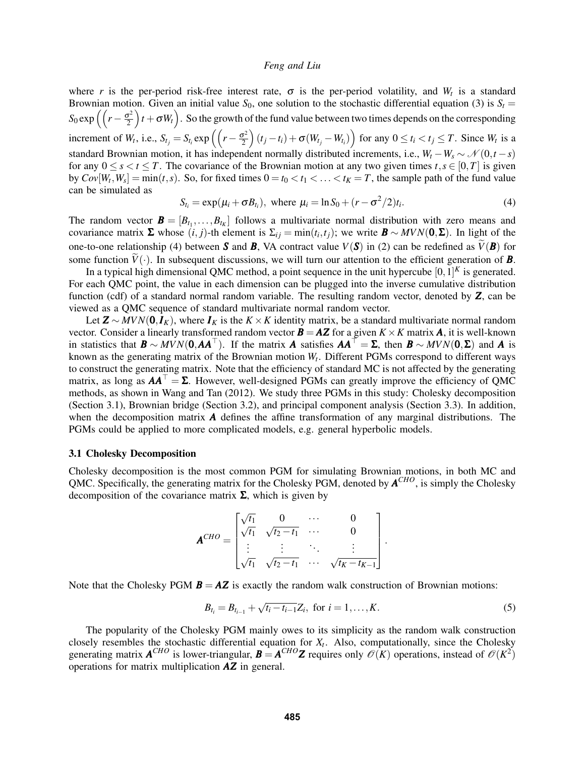where *r* is the per-period risk-free interest rate,  $\sigma$  is the per-period volatility, and  $W_t$  is a standard Brownian motion. Given an initial value  $S_0$ , one solution to the stochastic differential equation [\(3\)](#page-3-1) is  $S_t$  =  $S_0 \exp\left(\left(r - \frac{\sigma^2}{2}\right)\right)$  $\left(\frac{y^2}{2}\right)t + \sigma W_t$ ). So the growth of the fund value between two times depends on the corresponding increment of  $W_t$ , i.e.,  $S_{t_j} = S_{t_i} \exp\left(\left(r - \frac{\sigma^2}{2}\right)\right)$  $\left(\frac{\sigma^2}{2}\right)(t_j - t_i) + \sigma(W_{t_j} - W_{t_i})$  for any  $0 \le t_i < t_j \le T$ . Since  $W_t$  is a standard Brownian motion, it has independent normally distributed increments, i.e.,  $W_t - W_s \sim \mathcal{N}(0, t - s)$ for any  $0 \le s \le t \le T$ . The covariance of the Brownian motion at any two given times  $t, s \in [0, T]$  is given by  $Cov[W_t, W_s] = min(t, s)$ . So, for fixed times  $0 = t_0 < t_1 < \ldots < t_K = T$ , the sample path of the fund value can be simulated as

<span id="page-4-0"></span>
$$
S_{t_i} = \exp(\mu_i + \sigma B_{t_i}), \text{ where } \mu_i = \ln S_0 + (r - \sigma^2/2)t_i.
$$
 (4)

The random vector  $\mathbf{B} = [B_{t_1},...,B_{t_K}]$  follows a multivariate normal distribution with zero means and covariance matrix  $\Sigma$  whose  $(i, j)$ -th element is  $\Sigma_{ij} = \min(t_i, t_j)$ ; we write  $B \sim MVN(0, \Sigma)$ . In light of the one-to-one relationship [\(4\)](#page-4-0) between *S* and *B*, VA contract value  $V(S)$  in [\(2\)](#page-3-0) can be redefined as  $\widetilde{V}(B)$  for some function  $\tilde{V}(\cdot)$ . In subsequent discussions, we will turn our attention to the efficient generation of **B**.

In a typical high dimensional QMC method, a point sequence in the unit hypercube  $[0,1]^K$  is generated. For each QMC point, the value in each dimension can be plugged into the inverse cumulative distribution function (cdf) of a standard normal random variable. The resulting random vector, denoted by *Z*, can be viewed as a QMC sequence of standard multivariate normal random vector.

Let  $\mathbf{Z} \sim MVN(\mathbf{0}, I_K)$ , where  $I_K$  is the  $K \times K$  identity matrix, be a standard multivariate normal random vector. Consider a linearly transformed random vector  $\mathbf{B} = \mathbf{AZ}$  for a given  $K \times K$  matrix **A**, it is well-known in statistics that  $\mathbf{B} \sim MVN(\mathbf{0},\mathbf{A}\mathbf{A}^{\top})$ . If the matrix *A* satisfies  $\mathbf{A}\mathbf{A}^{\top} = \Sigma$ , then  $\mathbf{B} \sim MVN(\mathbf{0},\Sigma)$  and *A* is known as the generating matrix of the Brownian motion *W<sup>t</sup>* . Different PGMs correspond to different ways to construct the generating matrix. Note that the efficiency of standard MC is not affected by the generating matrix, as long as  $AA^{\perp} = \Sigma$ . However, well-designed PGMs can greatly improve the efficiency of QMC methods, as shown in [Wang and Tan \(2012\).](#page-10-7) We study three PGMs in this study: Cholesky decomposition (Section [3.1\)](#page-4-1), Brownian bridge (Section [3.2\)](#page-5-0), and principal component analysis (Section [3.3\)](#page-5-1). In addition, when the decomposition matrix  $\boldsymbol{A}$  defines the affine transformation of any marginal distributions. The PGMs could be applied to more complicated models, e.g. general hyperbolic models.

#### <span id="page-4-1"></span>3.1 Cholesky Decomposition

Cholesky decomposition is the most common PGM for simulating Brownian motions, in both MC and QMC. Specifically, the generating matrix for the Cholesky PGM, denoted by  $A^{CHO}$ , is simply the Cholesky decomposition of the covariance matrix  $\Sigma$ , which is given by

$$
\mathbf{A}^{CHO} = \begin{bmatrix} \sqrt{t_1} & 0 & \cdots & 0 \\ \sqrt{t_1} & \sqrt{t_2 - t_1} & \cdots & 0 \\ \vdots & \vdots & \ddots & \vdots \\ \sqrt{t_1} & \sqrt{t_2 - t_1} & \cdots & \sqrt{t_K - t_{K-1}} \end{bmatrix}.
$$

Note that the Cholesky PGM  $\mathbf{B} = \mathbf{A} \mathbf{Z}$  is exactly the random walk construction of Brownian motions:

<span id="page-4-2"></span>
$$
B_{t_i} = B_{t_{i-1}} + \sqrt{t_i - t_{i-1}} Z_i, \text{ for } i = 1, ..., K.
$$
 (5)

The popularity of the Cholesky PGM mainly owes to its simplicity as the random walk construction closely resembles the stochastic differential equation for  $X_t$ . Also, computationally, since the Cholesky generating matrix  $A^{CHO}$  is lower-triangular,  $B = A^{CHO}Z$  requires only  $\mathcal{O}(K)$  operations, instead of  $\mathcal{O}(K^2)$ operations for matrix multiplication *AZ* in general.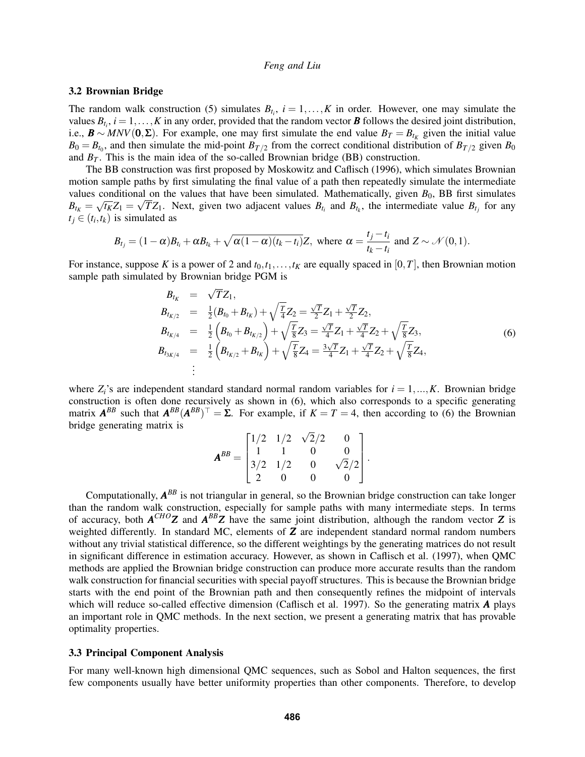#### <span id="page-5-0"></span>3.2 Brownian Bridge

The random walk construction [\(5\)](#page-4-2) simulates  $B_{t_i}$ ,  $i = 1, \ldots, K$  in order. However, one may simulate the values  $B_{t_i}$ ,  $i = 1, ..., K$  in any order, provided that the random vector **B** follows the desired joint distribution, i.e.,  $\mathbf{B} \sim MNV(0, \Sigma)$ . For example, one may first simulate the end value  $B_T = B_{t_K}$  given the initial value  $B_0 = B_{t_0}$ , and then simulate the mid-point  $B_{T/2}$  from the correct conditional distribution of  $B_{T/2}$  given  $B_0$ and  $B_T$ . This is the main idea of the so-called Brownian bridge (BB) construction.

The BB construction was first proposed by [Moskowitz and Caflisch \(1996\),](#page-10-9) which simulates Brownian motion sample paths by first simulating the final value of a path then repeatedly simulate the intermediate values conditional on the values that have been simulated. Mathematically, given  $B_0$ , BB first simulates  $B_{t_k} = \sqrt{t_k}Z_1 = \sqrt{TZ_1}$ . Next, given two adjacent values  $B_{t_i}$  and  $B_{t_k}$ , the intermediate value  $B_{t_j}$  for any  $t_j \in (t_i, t_k)$  is simulated as

$$
B_{t_j} = (1-\alpha)B_{t_i} + \alpha B_{t_k} + \sqrt{\alpha(1-\alpha)(t_k-t_i)}Z
$$
, where  $\alpha = \frac{t_j-t_i}{t_k-t_i}$  and  $Z \sim \mathcal{N}(0,1)$ .

For instance, suppose *K* is a power of 2 and  $t_0, t_1, \ldots, t_K$  are equally spaced in [0,*T*], then Brownian motion sample path simulated by Brownian bridge PGM is

<span id="page-5-2"></span>
$$
B_{t_K} = \sqrt{T}Z_1,
$$
  
\n
$$
B_{t_{K/2}} = \frac{1}{2}(B_{t_0} + B_{t_K}) + \sqrt{\frac{T}{4}}Z_2 = \frac{\sqrt{T}}{2}Z_1 + \frac{\sqrt{T}}{2}Z_2,
$$
  
\n
$$
B_{t_{K/4}} = \frac{1}{2}\left(B_{t_0} + B_{t_{K/2}}\right) + \sqrt{\frac{T}{8}}Z_3 = \frac{\sqrt{T}}{4}Z_1 + \frac{\sqrt{T}}{4}Z_2 + \sqrt{\frac{T}{8}}Z_3,
$$
  
\n
$$
B_{t_{3K/4}} = \frac{1}{2}\left(B_{t_{K/2}} + B_{t_K}\right) + \sqrt{\frac{T}{8}}Z_4 = \frac{3\sqrt{T}}{4}Z_1 + \frac{\sqrt{T}}{4}Z_2 + \sqrt{\frac{T}{8}}Z_4,
$$
  
\n
$$
\vdots
$$
\n(6)

where  $Z_i$ 's are independent standard standard normal random variables for  $i = 1, ..., K$ . Brownian bridge construction is often done recursively as shown in [\(6\)](#page-5-2), which also corresponds to a specific generating matrix  $A^{BB}$  such that  $A^{BB}(A^{BB})^{\top} = \Sigma$ . For example, if  $K = T = 4$ , then according to [\(6\)](#page-5-2) the Brownian bridge generating matrix is √

$$
\mathbf{A}^{BB} = \begin{bmatrix} 1/2 & 1/2 & \sqrt{2}/2 & 0 \\ 1 & 1 & 0 & 0 \\ 3/2 & 1/2 & 0 & \sqrt{2}/2 \\ 2 & 0 & 0 & 0 \end{bmatrix}.
$$

Computationally,  $A^{BB}$  is not triangular in general, so the Brownian bridge construction can take longer than the random walk construction, especially for sample paths with many intermediate steps. In terms of accuracy, both  $A^{CHO}Z$  and  $A^{BB}Z$  have the same joint distribution, although the random vector  $Z$  is weighted differently. In standard MC, elements of *Z* are independent standard normal random numbers without any trivial statistical difference, so the different weightings by the generating matrices do not result in significant difference in estimation accuracy. However, as shown in [Caflisch et al. \(1997\),](#page-9-18) when QMC methods are applied the Brownian bridge construction can produce more accurate results than the random walk construction for financial securities with special payoff structures. This is because the Brownian bridge starts with the end point of the Brownian path and then consequently refines the midpoint of intervals which will reduce so-called effective dimension [\(Caflisch et al. 1997\)](#page-9-18). So the generating matrix *A* plays an important role in QMC methods. In the next section, we present a generating matrix that has provable optimality properties.

#### <span id="page-5-1"></span>3.3 Principal Component Analysis

For many well-known high dimensional QMC sequences, such as Sobol and Halton sequences, the first few components usually have better uniformity properties than other components. Therefore, to develop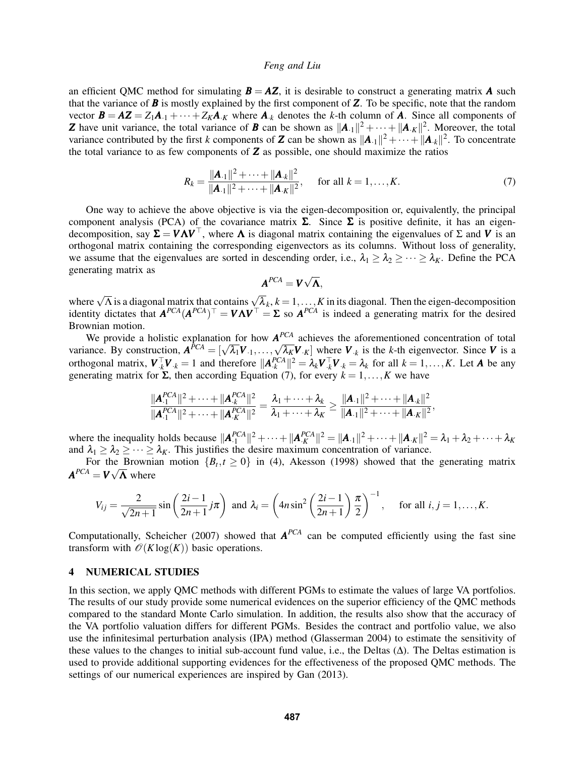an efficient QMC method for simulating  $\mathbf{B} = \mathbf{A}\mathbf{Z}$ , it is desirable to construct a generating matrix  $\mathbf{A}$  such that the variance of *B* is mostly explained by the first component of *Z*. To be specific, note that the random vector  $\mathbf{B} = \mathbf{A}\mathbf{Z} = Z_1\mathbf{A}_{-1} + \cdots + Z_K\mathbf{A}_{-K}$  where  $\mathbf{A}_{-k}$  denotes the *k*-th column of **A**. Since all components of *Z* have unit variance, the total variance of *B* can be shown as  $||A_{.1}||^2 + \cdots + ||A_{.K}||^2$ . Moreover, the total variance contributed by the first *k* components of **Z** can be shown as  $||A_{\cdot1}||^2 + \cdots + ||A_{\cdot k}||^2$ . To concentrate the total variance to as few components of *Z* as possible, one should maximize the ratios

<span id="page-6-1"></span>
$$
R_k = \frac{\|\mathbf{A}_{.1}\|^2 + \dots + \|\mathbf{A}_{.k}\|^2}{\|\mathbf{A}_{.1}\|^2 + \dots + \|\mathbf{A}_{.K}\|^2}, \quad \text{for all } k = 1, \dots, K. \tag{7}
$$

One way to achieve the above objective is via the eigen-decomposition or, equivalently, the principal component analysis (PCA) of the covariance matrix  $\Sigma$ . Since  $\Sigma$  is positive definite, it has an eigendecomposition, say  $\Sigma = V \Lambda V^{\top}$ , where  $\Lambda$  is diagonal matrix containing the eigenvalues of  $\Sigma$  and  $V$  is an orthogonal matrix containing the corresponding eigenvectors as its columns. Without loss of generality, we assume that the eigenvalues are sorted in descending order, i.e.,  $\lambda_1 \geq \lambda_2 \geq \cdots \geq \lambda_K$ . Define the PCA generating matrix as √

$$
\mathbf{A}^{PCA} = \mathbf{V}\sqrt{\mathbf{\Lambda}},
$$

where  $\sqrt{\Lambda}$  is a diagonal matrix that contains  $\sqrt{\lambda_k}$ ,  $k = 1, ..., K$  in its diagonal. Then the eigen-decomposition identity dictates that  $A^{PCA}(A^{PCA})^{\top} = V\Lambda V^{\top} = \Sigma$  so  $A^{PCA}$  is indeed a generating matrix for the desired Brownian motion.

We provide a holistic explanation for how  $A^{PCA}$  achieves the aforementioned concentration of total we provide a noistic explanation for now  $A^{\text{per}}$  achieves the arorementioned concentration of total variance. By construction,  $A^{PCA} = [\sqrt{\lambda_1}V_{\cdot1}, \dots, \sqrt{\lambda_K}V_{\cdotK}]$  where  $V_k$  is the *k*-th eigenvector. Since *V* is a orthogonal matrix,  $\mathbf{V}_{k}^{\top} \mathbf{V}_{k} = 1$  and therefore  $\|\mathbf{A}_{k}^{PCA}\|^{2} = \lambda_{k} \mathbf{V}_{k}^{\top} \mathbf{V}_{k} = \lambda_{k}$  for all  $k = 1, ..., K$ . Let **A** be any generating matrix for  $\Sigma$ , then according Equation [\(7\)](#page-6-1), for every  $k = 1, ..., K$  we have

$$
\frac{\|\mathbf{A}_{\cdot 1}^{PCA}\|^2 + \cdots + \|\mathbf{A}_{\cdot k}^{PCA}\|^2}{\|\mathbf{A}_{\cdot 1}^{PCA}\|^2 + \cdots + \|\mathbf{A}_{\cdot k}^{PCA}\|^2} = \frac{\lambda_1 + \cdots + \lambda_k}{\lambda_1 + \cdots + \lambda_k} \ge \frac{\|\mathbf{A}_{\cdot 1}\|^2 + \cdots + \|\mathbf{A}_{\cdot k}\|^2}{\|\mathbf{A}_{\cdot 1}\|^2 + \cdots + \|\mathbf{A}_{\cdot K}\|^2},
$$

where the inequality holds because  $||A_1^{PCA}||^2 + \cdots + ||A_K^{PCA}||^2 = ||A_{\cdot1}||^2 + \cdots + ||A_{\cdotK}||^2 = \lambda_1 + \lambda_2 + \cdots + \lambda_K$ and  $\lambda_1 \geq \lambda_2 \geq \cdots \geq \lambda_K$ . This justifies the desire maximum concentration of variance.

For the Brownian motion  ${B_t, t \ge 0}$  in [\(4\)](#page-4-0), [Akesson \(1998\)](#page-9-19) showed that the generating matrix  $A^{PCA} = V \sqrt{\Lambda}$  where

$$
V_{ij} = \frac{2}{\sqrt{2n+1}} \sin\left(\frac{2i-1}{2n+1}j\pi\right) \text{ and } \lambda_i = \left(4n\sin^2\left(\frac{2i-1}{2n+1}\right)\frac{\pi}{2}\right)^{-1}, \text{ for all } i,j = 1,\ldots,K.
$$

Computationally, [Scheicher \(2007\)](#page-10-10) showed that  $A^{PCA}$  can be computed efficiently using the fast sine transform with  $\mathcal{O}(K \log(K))$  basic operations.

#### <span id="page-6-0"></span>4 NUMERICAL STUDIES

In this section, we apply QMC methods with different PGMs to estimate the values of large VA portfolios. The results of our study provide some numerical evidences on the superior efficiency of the QMC methods compared to the standard Monte Carlo simulation. In addition, the results also show that the accuracy of the VA portfolio valuation differs for different PGMs. Besides the contract and portfolio value, we also use the infinitesimal perturbation analysis (IPA) method [\(Glasserman 2004\)](#page-9-13) to estimate the sensitivity of these values to the changes to initial sub-account fund value, i.e., the Deltas (Δ). The Deltas estimation is used to provide additional supporting evidences for the effectiveness of the proposed QMC methods. The settings of our numerical experiences are inspired by [Gan \(2013\).](#page-9-1)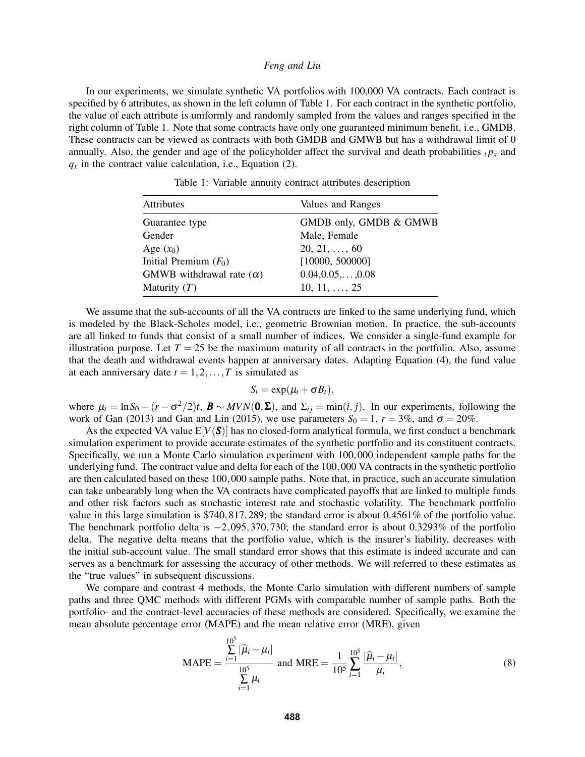In our experiments, we simulate synthetic VA portfolios with 100,000 VA contracts. Each contract is specified by 6 attributes, as shown in the left column of Table [1.](#page-7-0) For each contract in the synthetic portfolio, the value of each attribute is uniformly and randomly sampled from the values and ranges specified in the right column of Table [1.](#page-7-0) Note that some contracts have only one guaranteed minimum benefit, i.e., GMDB. These contracts can be viewed as contracts with both GMDB and GMWB but has a withdrawal limit of 0 annually. Also, the gender and age of the policyholder affect the survival and death probabilities  $t p_x$  and  $q_x$  in the contract value calculation, i.e., Equation [\(2\)](#page-3-0).

| Values and Ranges          |
|----------------------------|
| GMDB only, GMDB & GMWB     |
| Male, Female               |
| $20, 21, \ldots, 60$       |
| [10000, 500000]            |
| $0.04, 0.05, \ldots, 0.08$ |
| $10, 11, \ldots, 25$       |
|                            |

<span id="page-7-0"></span>Table 1: Variable annuity contract attributes description

We assume that the sub-accounts of all the VA contracts are linked to the same underlying fund, which is modeled by the Black-Scholes model, i.e., geometric Brownian motion. In practice, the sub-accounts are all linked to funds that consist of a small number of indices. We consider a single-fund example for illustration purpose. Let  $T = 25$  be the maximum maturity of all contracts in the portfolio. Also, assume that the death and withdrawal events happen at anniversary dates. Adapting Equation [\(4\)](#page-4-0), the fund value at each anniversary date  $t = 1, 2, \ldots, T$  is simulated as

$$
S_t = \exp(\mu_t + \sigma B_t),
$$

where  $\mu_t = \ln S_0 + (r - \sigma^2/2)t$ ,  $\mathbf{B} \sim MVN(\mathbf{0}, \Sigma)$ , and  $\Sigma_{ij} = \min(i, j)$ . In our experiments, following the work of [Gan \(2013\)](#page-9-1) and [Gan and Lin \(2015\),](#page-9-3) we use parameters  $S_0 = 1$ ,  $r = 3\%$ , and  $\sigma = 20\%$ .

As the expected VA value  $E[V(S)]$  has no closed-form analytical formula, we first conduct a benchmark simulation experiment to provide accurate estimates of the synthetic portfolio and its constituent contracts. Specifically, we run a Monte Carlo simulation experiment with 100,000 independent sample paths for the underlying fund. The contract value and delta for each of the 100,000 VA contracts in the synthetic portfolio are then calculated based on these 100,000 sample paths. Note that, in practice, such an accurate simulation can take unbearably long when the VA contracts have complicated payoffs that are linked to multiple funds and other risk factors such as stochastic interest rate and stochastic volatility. The benchmark portfolio value in this large simulation is \$740,817,289; the standard error is about 0.4561% of the portfolio value. The benchmark portfolio delta is −2,095,370,730; the standard error is about 0.3293% of the portfolio delta. The negative delta means that the portfolio value, which is the insurer's liability, decreases with the initial sub-account value. The small standard error shows that this estimate is indeed accurate and can serves as a benchmark for assessing the accuracy of other methods. We will referred to these estimates as the "true values" in subsequent discussions.

We compare and contrast 4 methods, the Monte Carlo simulation with different numbers of sample paths and three QMC methods with different PGMs with comparable number of sample paths. Both the portfolio- and the contract-level accuracies of these methods are considered. Specifically, we examine the mean absolute percentage error (MAPE) and the mean relative error (MRE), given

$$
\text{MAPE} = \frac{\sum_{i=1}^{10^5} |\hat{\mu}_i - \mu_i|}{\sum_{i=1}^{10^5} \mu_i} \text{ and } \text{MRE} = \frac{1}{10^5} \sum_{i=1}^{10^5} \frac{|\hat{\mu}_i - \mu_i|}{\mu_i},
$$
(8)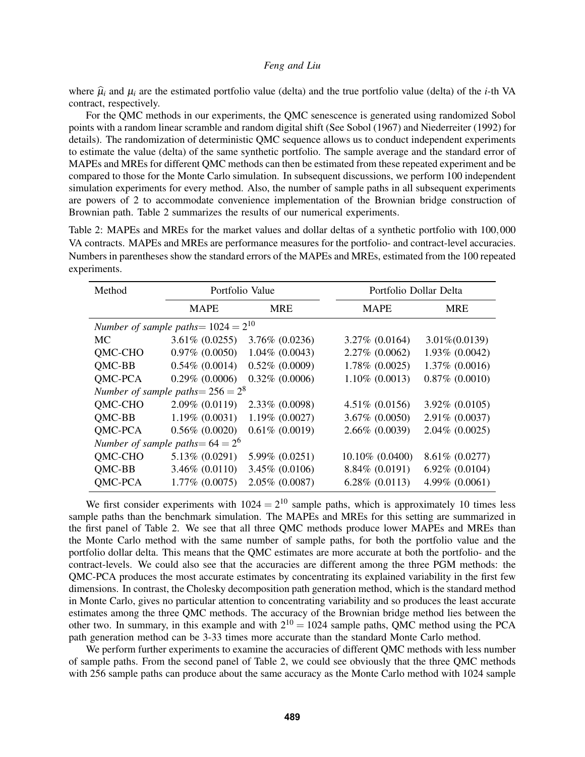where  $\hat{\mu}_i$  and  $\mu_i$  are the estimated portfolio value (delta) and the true portfolio value (delta) of the *i*-th VA contract, respectively.

For the QMC methods in our experiments, the QMC senescence is generated using randomized Sobol points with a random linear scramble and random digital shift (See [Sobol \(1967\)](#page-10-11) and [Niederreiter \(1992\)](#page-10-2) for details). The randomization of deterministic QMC sequence allows us to conduct independent experiments to estimate the value (delta) of the same synthetic portfolio. The sample average and the standard error of MAPEs and MREs for different QMC methods can then be estimated from these repeated experiment and be compared to those for the Monte Carlo simulation. In subsequent discussions, we perform 100 independent simulation experiments for every method. Also, the number of sample paths in all subsequent experiments are powers of 2 to accommodate convenience implementation of the Brownian bridge construction of Brownian path. Table [2](#page-8-0) summarizes the results of our numerical experiments.

<span id="page-8-0"></span>Table 2: MAPEs and MREs for the market values and dollar deltas of a synthetic portfolio with 100,000 VA contracts. MAPEs and MREs are performance measures for the portfolio- and contract-level accuracies. Numbers in parentheses show the standard errors of the MAPEs and MREs, estimated from the 100 repeated experiments.

| Method                                   | Portfolio Value     |                   | Portfolio Dollar Delta |                     |
|------------------------------------------|---------------------|-------------------|------------------------|---------------------|
|                                          | <b>MAPE</b>         | <b>MRE</b>        | <b>MAPE</b>            | <b>MRE</b>          |
| Number of sample paths = $1024 = 2^{10}$ |                     |                   |                        |                     |
| <b>MC</b>                                | $3.61\% (0.0255)$   | 3.76% (0.0236)    | $3.27\%$ (0.0164)      | $3.01\%(0.0139)$    |
| QMC-CHO                                  | $0.97\%$ $(0.0050)$ | $1.04\%$ (0.0043) | 2.27% (0.0062)         | 1.93% (0.0042)      |
| <b>OMC-BB</b>                            | $0.54\%$ (0.0014)   | $0.52\%$ (0.0009) | $1.78\%$ (0.0025)      | $1.37\%$ (0.0016)   |
| <b>OMC-PCA</b>                           | $0.29\%$ (0.0006)   | $0.32\%$ (0.0006) | $1.10\%$ (0.0013)      | $0.87\%$ $(0.0010)$ |
| Number of sample paths = $256 = 2^8$     |                     |                   |                        |                     |
| <b>OMC-CHO</b>                           | $2.09\%$ (0.0119)   | 2.33% (0.0098)    | $4.51\% (0.0156)$      | 3.92% (0.0105)      |
| QMC-BB                                   | $1.19\% (0.0031)$   | $1.19\%$ (0.0027) | $3.67\% (0.0050)$      | 2.91% (0.0037)      |
| QMC-PCA                                  | $0.56\%$ $(0.0020)$ | $0.61\%$ (0.0019) | 2.66% (0.0039)         | $2.04\%$ (0.0025)   |
| Number of sample paths = $64 = 2^6$      |                     |                   |                        |                     |
| QMC-CHO                                  | 5.13% (0.0291)      | 5.99% (0.0251)    | 10.10% (0.0400)        | 8.61% (0.0277)      |
| QMC-BB                                   | $3.46\%$ (0.0110)   | 3.45% (0.0106)    | 8.84% (0.0191)         | $6.92\%$ $(0.0104)$ |
| QMC-PCA                                  | $1.77\%$ (0.0075)   | 2.05% (0.0087)    | $6.28\%$ $(0.0113)$    | 4.99% (0.0061)      |

We first consider experiments with  $1024 = 2^{10}$  sample paths, which is approximately 10 times less sample paths than the benchmark simulation. The MAPEs and MREs for this setting are summarized in the first panel of Table [2.](#page-8-0) We see that all three QMC methods produce lower MAPEs and MREs than the Monte Carlo method with the same number of sample paths, for both the portfolio value and the portfolio dollar delta. This means that the QMC estimates are more accurate at both the portfolio- and the contract-levels. We could also see that the accuracies are different among the three PGM methods: the QMC-PCA produces the most accurate estimates by concentrating its explained variability in the first few dimensions. In contrast, the Cholesky decomposition path generation method, which is the standard method in Monte Carlo, gives no particular attention to concentrating variability and so produces the least accurate estimates among the three QMC methods. The accuracy of the Brownian bridge method lies between the other two. In summary, in this example and with  $2^{10} = 1024$  sample paths, QMC method using the PCA path generation method can be 3-33 times more accurate than the standard Monte Carlo method.

We perform further experiments to examine the accuracies of different QMC methods with less number of sample paths. From the second panel of Table [2,](#page-8-0) we could see obviously that the three QMC methods with 256 sample paths can produce about the same accuracy as the Monte Carlo method with 1024 sample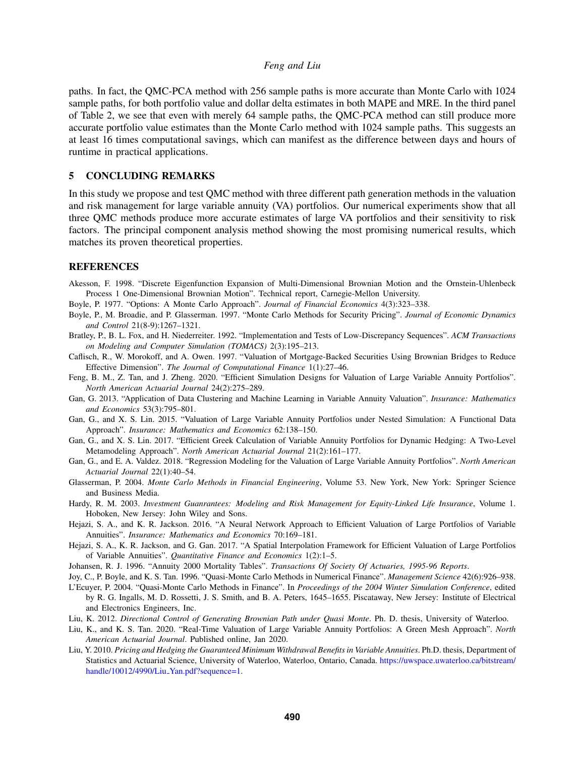paths. In fact, the QMC-PCA method with 256 sample paths is more accurate than Monte Carlo with 1024 sample paths, for both portfolio value and dollar delta estimates in both MAPE and MRE. In the third panel of Table [2,](#page-8-0) we see that even with merely 64 sample paths, the QMC-PCA method can still produce more accurate portfolio value estimates than the Monte Carlo method with 1024 sample paths. This suggests an at least 16 times computational savings, which can manifest as the difference between days and hours of runtime in practical applications.

### 5 CONCLUDING REMARKS

In this study we propose and test QMC method with three different path generation methods in the valuation and risk management for large variable annuity (VA) portfolios. Our numerical experiments show that all three QMC methods produce more accurate estimates of large VA portfolios and their sensitivity to risk factors. The principal component analysis method showing the most promising numerical results, which matches its proven theoretical properties.

#### REFERENCES

<span id="page-9-19"></span>Akesson, F. 1998. "Discrete Eigenfunction Expansion of Multi-Dimensional Brownian Motion and the Ornstein-Uhlenbeck Process 1 One-Dimensional Brownian Motion". Technical report, Carnegie-Mellon University.

<span id="page-9-11"></span>Boyle, P. 1977. "Options: A Monte Carlo Approach". *Journal of Financial Economics* 4(3):323–338.

- <span id="page-9-12"></span>Boyle, P., M. Broadie, and P. Glasserman. 1997. "Monte Carlo Methods for Security Pricing". *Journal of Economic Dynamics and Control* 21(8-9):1267–1321.
- <span id="page-9-9"></span>Bratley, P., B. L. Fox, and H. Niederreiter. 1992. "Implementation and Tests of Low-Discrepancy Sequences". *ACM Transactions on Modeling and Computer Simulation (TOMACS)* 2(3):195–213.
- <span id="page-9-18"></span>Caflisch, R., W. Morokoff, and A. Owen. 1997. "Valuation of Mortgage-Backed Securities Using Brownian Bridges to Reduce Effective Dimension". *The Journal of Computational Finance* 1(1):27–46.
- <span id="page-9-2"></span>Feng, B. M., Z. Tan, and J. Zheng. 2020. "Efficient Simulation Designs for Valuation of Large Variable Annuity Portfolios". *North American Actuarial Journal* 24(2):275–289.
- <span id="page-9-1"></span>Gan, G. 2013. "Application of Data Clustering and Machine Learning in Variable Annuity Valuation". *Insurance: Mathematics and Economics* 53(3):795–801.
- <span id="page-9-3"></span>Gan, G., and X. S. Lin. 2015. "Valuation of Large Variable Annuity Portfolios under Nested Simulation: A Functional Data Approach". *Insurance: Mathematics and Economics* 62:138–150.
- <span id="page-9-4"></span>Gan, G., and X. S. Lin. 2017. "Efficient Greek Calculation of Variable Annuity Portfolios for Dynamic Hedging: A Two-Level Metamodeling Approach". *North American Actuarial Journal* 21(2):161–177.
- <span id="page-9-7"></span>Gan, G., and E. A. Valdez. 2018. "Regression Modeling for the Valuation of Large Variable Annuity Portfolios". *North American Actuarial Journal* 22(1):40–54.
- <span id="page-9-13"></span>Glasserman, P. 2004. *Monte Carlo Methods in Financial Engineering*, Volume 53. New York, New York: Springer Science and Business Media.
- <span id="page-9-0"></span>Hardy, R. M. 2003. *Investment Guanrantees: Modeling and Risk Management for Equity-Linked Life Insurance*, Volume 1. Hoboken, New Jersey: John Wiley and Sons.
- <span id="page-9-5"></span>Hejazi, S. A., and K. R. Jackson. 2016. "A Neural Network Approach to Efficient Valuation of Large Portfolios of Variable Annuities". *Insurance: Mathematics and Economics* 70:169–181.
- <span id="page-9-6"></span>Hejazi, S. A., K. R. Jackson, and G. Gan. 2017. "A Spatial Interpolation Framework for Efficient Valuation of Large Portfolios of Variable Annuities". *Quantitative Finance and Economics* 1(2):1–5.
- <span id="page-9-17"></span>Johansen, R. J. 1996. "Annuity 2000 Mortality Tables". *Transactions Of Society Of Actuaries, 1995-96 Reports*.
- <span id="page-9-15"></span><span id="page-9-14"></span>Joy, C., P. Boyle, and K. S. Tan. 1996. "Quasi-Monte Carlo Methods in Numerical Finance". *Management Science* 42(6):926–938.
- L'Ecuyer, P. 2004. "Quasi-Monte Carlo Methods in Finance". In *Proceedings of the 2004 Winter Simulation Conference*, edited by R. G. Ingalls, M. D. Rossetti, J. S. Smith, and B. A. Peters, 1645–1655. Piscataway, New Jersey: Institute of Electrical and Electronics Engineers, Inc.
- <span id="page-9-10"></span>Liu, K. 2012. *Directional Control of Generating Brownian Path under Quasi Monte*. Ph. D. thesis, University of Waterloo.
- <span id="page-9-8"></span>Liu, K., and K. S. Tan. 2020. "Real-Time Valuation of Large Variable Annuity Portfolios: A Green Mesh Approach". *North American Actuarial Journal*. Published online, Jan 2020.
- <span id="page-9-16"></span>Liu, Y. 2010. *Pricing and Hedging the Guaranteed Minimum Withdrawal Benefits in Variable Annuities*. Ph.D. thesis, Department of Statistics and Actuarial Science, University of Waterloo, Waterloo, Ontario, Canada. [https://uwspace.uwaterloo.ca/bitstream/](https://uwspace.uwaterloo.ca/bitstream/handle/10012/4990/Liu_Yan.pdf?sequence=1) [handle/10012/4990/Liu](https://uwspace.uwaterloo.ca/bitstream/handle/10012/4990/Liu_Yan.pdf?sequence=1)\_Yan.pdf?sequence=1.